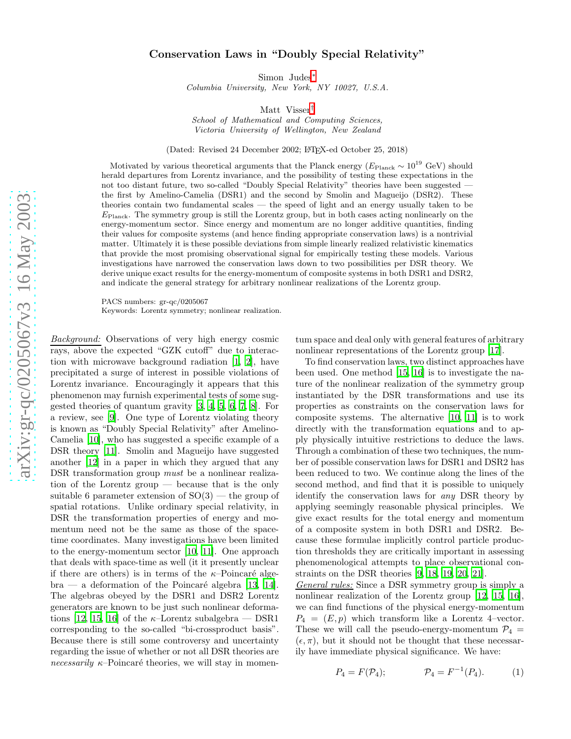## Conservation Laws in "Doubly Special Relativity"

Simon Judes [∗](#page-3-0)

Columbia University, New York, NY 10027, U.S.A.

Matt Visser [†](#page-3-1)

School of Mathematical and Computing Sciences, Victoria University of Wellington, New Zealand

(Dated: Revised 24 December 2002; L<sup>A</sup>TEX-ed October 25, 2018)

Motivated by various theoretical arguments that the Planck energy ( $E_{\text{Planck}} \sim 10^{19} \text{ GeV}$ ) should herald departures from Lorentz invariance, and the possibility of testing these expectations in the not too distant future, two so-called "Doubly Special Relativity" theories have been suggested the first by Amelino-Camelia (DSR1) and the second by Smolin and Magueijo (DSR2). These theories contain two fundamental scales — the speed of light and an energy usually taken to be  $E_{\text{Planck}}$ . The symmetry group is still the Lorentz group, but in both cases acting nonlinearly on the energy-momentum sector. Since energy and momentum are no longer additive quantities, finding their values for composite systems (and hence finding appropriate conservation laws) is a nontrivial matter. Ultimately it is these possible deviations from simple linearly realized relativistic kinematics that provide the most promising observational signal for empirically testing these models. Various investigations have narrowed the conservation laws down to two possibilities per DSR theory. We derive unique exact results for the energy-momentum of composite systems in both DSR1 and DSR2, and indicate the general strategy for arbitrary nonlinear realizations of the Lorentz group.

PACS numbers: gr-qc/0205067 Keywords: Lorentz symmetry; nonlinear realization.

*Background:* Observations of very high energy cosmic rays, above the expected "GZK cutoff" due to interaction with microwave background radiation [\[1](#page-3-2), [2\]](#page-3-3), have precipitated a surge of interest in possible violations of Lorentz invariance. Encouragingly it appears that this phenomenon may furnish experimental tests of some suggested theories of quantum gravity [\[3,](#page-3-4) [4,](#page-3-5) [5](#page-3-6), [6,](#page-3-7) [7,](#page-3-8) [8\]](#page-3-9). For a review, see [\[9\]](#page-3-10). One type of Lorentz violating theory is known as "Doubly Special Relativity" after Amelino-Camelia [\[10\]](#page-3-11), who has suggested a specific example of a DSR theory [\[11](#page-3-12)]. Smolin and Magueijo have suggested another [\[12](#page-3-13)] in a paper in which they argued that any DSR transformation group *must* be a nonlinear realization of the Lorentz group — because that is the only suitable 6 parameter extension of  $SO(3)$  — the group of spatial rotations. Unlike ordinary special relativity, in DSR the transformation properties of energy and momentum need not be the same as those of the spacetime coordinates. Many investigations have been limited to the energy-momentum sector [\[10,](#page-3-11) [11](#page-3-12)]. One approach that deals with space-time as well (it it presently unclear if there are others) is in terms of the  $\kappa$ -Poincaré alge $bra - a$  deformation of the Poincaré algebra [\[13,](#page-3-14) [14\]](#page-3-15). The algebras obeyed by the DSR1 and DSR2 Lorentz generators are known to be just such nonlinear deforma-tions [\[12,](#page-3-13) [15,](#page-3-16) [16](#page-3-17)] of the  $\kappa$ -Lorentz subalgebra — DSR1 corresponding to the so-called "bi-crossproduct basis". Because there is still some controversy and uncertainty regarding the issue of whether or not all DSR theories are  $necessarily$   $\kappa$ -Poincaré theories, we will stay in momen-

tum space and deal only with general features of arbitrary nonlinear representations of the Lorentz group [\[17\]](#page-3-18).

To find conservation laws, two distinct approaches have been used. One method [\[15](#page-3-16), [16](#page-3-17)] is to investigate the nature of the nonlinear realization of the symmetry group instantiated by the DSR transformations and use its properties as constraints on the conservation laws for composite systems. The alternative [\[10,](#page-3-11) [11](#page-3-12)] is to work directly with the transformation equations and to apply physically intuitive restrictions to deduce the laws. Through a combination of these two techniques, the number of possible conservation laws for DSR1 and DSR2 has been reduced to two. We continue along the lines of the second method, and find that it is possible to uniquely identify the conservation laws for *any* DSR theory by applying seemingly reasonable physical principles. We give exact results for the total energy and momentum of a composite system in both DSR1 and DSR2. Because these formulae implicitly control particle production thresholds they are critically important in assessing phenomenological attempts to place observational constraints on the DSR theories [\[9,](#page-3-10) [18,](#page-3-19) [19,](#page-3-20) [20,](#page-3-21) [21\]](#page-3-22).

*General rules:* Since a DSR symmetry group is simply a nonlinear realization of the Lorentz group [\[12,](#page-3-13) [15](#page-3-16), [16\]](#page-3-17), we can find functions of the physical energy-momentum  $P_4 = (E, p)$  which transform like a Lorentz 4-vector. These we will call the pseudo-energy-momentum  $\mathcal{P}_4$  =  $(\epsilon, \pi)$ , but it should not be thought that these necessarily have immediate physical significance. We have:

$$
P_4 = F(\mathcal{P}_4); \qquad \mathcal{P}_4 = F^{-1}(P_4). \qquad (1)
$$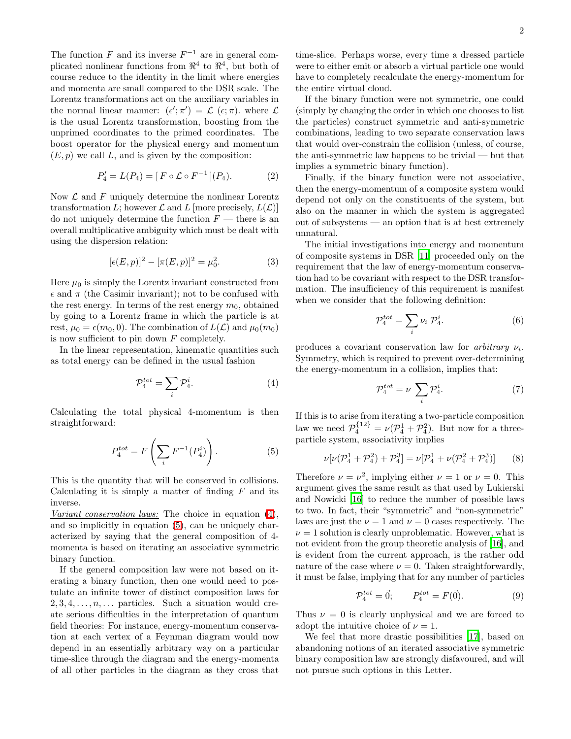The function  $F$  and its inverse  $F^{-1}$  are in general complicated nonlinear functions from  $\mathbb{R}^4$  to  $\mathbb{R}^4$ , but both of course reduce to the identity in the limit where energies and momenta are small compared to the DSR scale. The Lorentz transformations act on the auxiliary variables in the normal linear manner:  $(\epsilon'; \pi') = \mathcal{L}(\epsilon; \pi)$ . where  $\mathcal{L}$ is the usual Lorentz transformation, boosting from the unprimed coordinates to the primed coordinates. The boost operator for the physical energy and momentum  $(E, p)$  we call L, and is given by the composition:

$$
P_4' = L(P_4) = [F \circ \mathcal{L} \circ F^{-1}](P_4). \tag{2}
$$

Now  $\mathcal L$  and  $F$  uniquely determine the nonlinear Lorentz transformation L; however  $\mathcal L$  and L [more precisely,  $L(\mathcal L)$ ] do not uniquely determine the function  $F$  — there is an overall multiplicative ambiguity which must be dealt with using the dispersion relation:

$$
[\epsilon(E, p)]^2 - [\pi(E, p)]^2 = \mu_0^2.
$$
 (3)

Here  $\mu_0$  is simply the Lorentz invariant constructed from  $\epsilon$  and  $\pi$  (the Casimir invariant); not to be confused with the rest energy. In terms of the rest energy  $m_0$ , obtained by going to a Lorentz frame in which the particle is at rest,  $\mu_0 = \epsilon(m_0, 0)$ . The combination of  $L(\mathcal{L})$  and  $\mu_0(m_0)$ is now sufficient to pin down  $F$  completely.

<span id="page-1-0"></span>In the linear representation, kinematic quantities such as total energy can be defined in the usual fashion

$$
\mathcal{P}_4^{tot} = \sum_i \mathcal{P}_4^i. \tag{4}
$$

<span id="page-1-1"></span>Calculating the total physical 4-momentum is then straightforward:

$$
P_4^{tot} = F\left(\sum_i F^{-1}(P_4^i)\right). \tag{5}
$$

This is the quantity that will be conserved in collisions. Calculating it is simply a matter of finding  $F$  and its inverse.

*Variant conservation laws:* The choice in equation [\(4\)](#page-1-0), and so implicitly in equation [\(5\)](#page-1-1), can be uniquely characterized by saying that the general composition of 4 momenta is based on iterating an associative symmetric binary function.

If the general composition law were not based on iterating a binary function, then one would need to postulate an infinite tower of distinct composition laws for  $2, 3, 4, \ldots, n, \ldots$  particles. Such a situation would create serious difficulties in the interpretation of quantum field theories: For instance, energy-momentum conservation at each vertex of a Feynman diagram would now depend in an essentially arbitrary way on a particular time-slice through the diagram and the energy-momenta of all other particles in the diagram as they cross that

time-slice. Perhaps worse, every time a dressed particle were to either emit or absorb a virtual particle one would have to completely recalculate the energy-momentum for the entire virtual cloud.

If the binary function were not symmetric, one could (simply by changing the order in which one chooses to list the particles) construct symmetric and anti-symmetric combinations, leading to two separate conservation laws that would over-constrain the collision (unless, of course, the anti-symmetric law happens to be trivial — but that implies a symmetric binary function).

Finally, if the binary function were not associative, then the energy-momentum of a composite system would depend not only on the constituents of the system, but also on the manner in which the system is aggregated out of subsystems — an option that is at best extremely unnatural.

The initial investigations into energy and momentum of composite systems in DSR [\[11\]](#page-3-12) proceeded only on the requirement that the law of energy-momentum conservation had to be covariant with respect to the DSR transformation. The insufficiency of this requirement is manifest when we consider that the following definition:

$$
\mathcal{P}_4^{tot} = \sum_i \nu_i \ \mathcal{P}_4^i. \tag{6}
$$

produces a covariant conservation law for *arbitrary*  $\nu_i$ . Symmetry, which is required to prevent over-determining the energy-momentum in a collision, implies that:

$$
\mathcal{P}_4^{tot} = \nu \sum_i \mathcal{P}_4^i. \tag{7}
$$

If this is to arise from iterating a two-particle composition law we need  $\mathcal{P}_4^{\{12\}} = \nu(\mathcal{P}_4^1 + \mathcal{P}_4^2)$ . But now for a threeparticle system, associativity implies

$$
\nu[\nu(\mathcal{P}_4^1 + \mathcal{P}_4^2) + \mathcal{P}_4^3] = \nu[\mathcal{P}_4^1 + \nu(\mathcal{P}_4^2 + \mathcal{P}_4^3)] \tag{8}
$$

Therefore  $\nu = \nu^2$ , implying either  $\nu = 1$  or  $\nu = 0$ . This argument gives the same result as that used by Lukierski and Nowicki [\[16\]](#page-3-17) to reduce the number of possible laws to two. In fact, their "symmetric" and "non-symmetric" laws are just the  $\nu = 1$  and  $\nu = 0$  cases respectively. The  $\nu = 1$  solution is clearly unproblematic. However, what is not evident from the group theoretic analysis of [\[16\]](#page-3-17), and is evident from the current approach, is the rather odd nature of the case where  $\nu = 0$ . Taken straightforwardly, it must be false, implying that for any number of particles

$$
\mathcal{P}_4^{tot} = \vec{0}; \qquad P_4^{tot} = F(\vec{0}). \tag{9}
$$

Thus  $\nu = 0$  is clearly unphysical and we are forced to adopt the intuitive choice of  $\nu = 1$ .

We feel that more drastic possibilities [\[17\]](#page-3-18), based on abandoning notions of an iterated associative symmetric binary composition law are strongly disfavoured, and will not pursue such options in this Letter.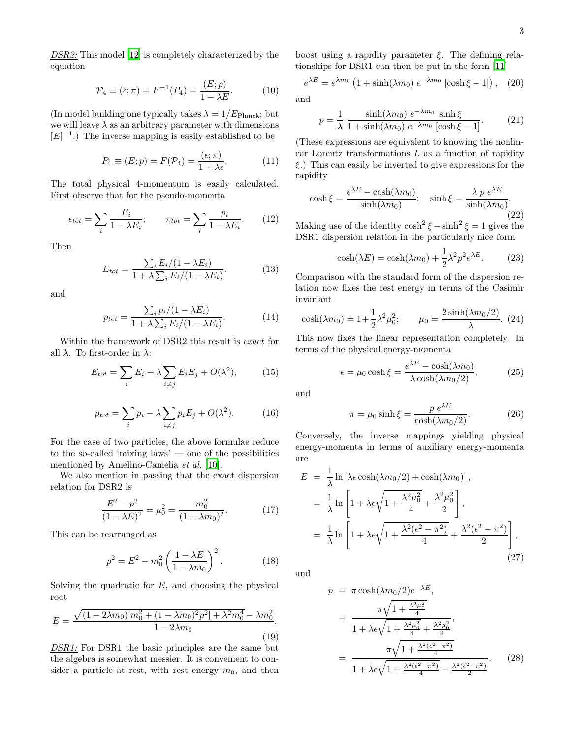*DSR2:* This model [\[12\]](#page-3-13) is completely characterized by the equation

$$
\mathcal{P}_4 \equiv (\epsilon; \pi) = F^{-1}(P_4) = \frac{(E; p)}{1 - \lambda E}.
$$
 (10)

(In model building one typically takes  $\lambda = 1/E_{\text{Planck}}$ ; but we will leave  $\lambda$  as an arbitrary parameter with dimensions  $[E]^{-1}$ .) The inverse mapping is easily established to be

$$
P_4 \equiv (E; p) = F(\mathcal{P}_4) = \frac{(\epsilon; \pi)}{1 + \lambda \epsilon}.
$$
 (11)

The total physical 4-momentum is easily calculated. First observe that for the pseudo-momenta

$$
\epsilon_{tot} = \sum_{i} \frac{E_i}{1 - \lambda E_i}; \qquad \pi_{tot} = \sum_{i} \frac{p_i}{1 - \lambda E_i}. \tag{12}
$$

<span id="page-2-0"></span>Then

$$
E_{tot} = \frac{\sum_{i} E_i/(1 - \lambda E_i)}{1 + \lambda \sum_{i} E_i/(1 - \lambda E_i)}.
$$
 (13)

<span id="page-2-1"></span>and

$$
p_{tot} = \frac{\sum_{i} p_i/(1 - \lambda E_i)}{1 + \lambda \sum_{i} E_i/(1 - \lambda E_i)}.
$$
 (14)

Within the framework of DSR2 this result is *exact* for all  $\lambda$ . To first-order in  $\lambda$ :

$$
E_{tot} = \sum_{i} E_i - \lambda \sum_{i \neq j} E_i E_j + O(\lambda^2), \quad (15)
$$

$$
p_{tot} = \sum_{i} p_i - \lambda \sum_{i \neq j} p_i E_j + O(\lambda^2). \tag{16}
$$

For the case of two particles, the above formulae reduce to the so-called 'mixing laws' — one of the possibilities mentioned by Amelino-Camelia *et al.* [\[10\]](#page-3-11).

We also mention in passing that the exact dispersion relation for DSR2 is

$$
\frac{E^2 - p^2}{(1 - \lambda E)^2} = \mu_0^2 = \frac{m_0^2}{(1 - \lambda m_0)^2}.
$$
 (17)

This can be rearranged as

$$
p^2 = E^2 - m_0^2 \left(\frac{1 - \lambda E}{1 - \lambda m_0}\right)^2.
$$
 (18)

Solving the quadratic for  $E$ , and choosing the physical root

$$
E = \frac{\sqrt{(1 - 2\lambda m_0)[m_0^2 + (1 - \lambda m_0)^2 p^2] + \lambda^2 m_0^4 - \lambda m_0^2}}{1 - 2\lambda m_0}.
$$
\n(19)

*DSR1:* For DSR1 the basic principles are the same but the algebra is somewhat messier. It is convenient to consider a particle at rest, with rest energy  $m_0$ , and then boost using a rapidity parameter  $\xi$ . The defining relationships for DSR1 can then be put in the form [\[11](#page-3-12)]

$$
e^{\lambda E} = e^{\lambda m_0} \left( 1 + \sinh(\lambda m_0) \ e^{-\lambda m_0} \left[ \cosh \xi - 1 \right] \right), \quad (20)
$$

and

$$
p = \frac{1}{\lambda} \frac{\sinh(\lambda m_0) e^{-\lambda m_0} \sinh \xi}{1 + \sinh(\lambda m_0) e^{-\lambda m_0} [\cosh \xi - 1]}.
$$
 (21)

(These expressions are equivalent to knowing the nonlinear Lorentz transformations  $L$  as a function of rapidity ξ.) This can easily be inverted to give expressions for the rapidity

$$
\cosh \xi = \frac{e^{\lambda E} - \cosh(\lambda m_0)}{\sinh(\lambda m_0)}; \quad \sinh \xi = \frac{\lambda p \, e^{\lambda E}}{\sinh(\lambda m_0)}.
$$
\n(22)

Making use of the identity  $\cosh^2 \xi - \sinh^2 \xi = 1$  gives the DSR1 dispersion relation in the particularly nice form

$$
\cosh(\lambda E) = \cosh(\lambda m_0) + \frac{1}{2}\lambda^2 p^2 e^{\lambda E}.
$$
 (23)

Comparison with the standard form of the dispersion relation now fixes the rest energy in terms of the Casimir invariant

$$
\cosh(\lambda m_0) = 1 + \frac{1}{2}\lambda^2 \mu_0^2; \qquad \mu_0 = \frac{2\sinh(\lambda m_0/2)}{\lambda}.
$$
 (24)

This now fixes the linear representation completely. In terms of the physical energy-momenta

$$
\epsilon = \mu_0 \cosh \xi = \frac{e^{\lambda E} - \cosh(\lambda m_0)}{\lambda \cosh(\lambda m_0/2)},\tag{25}
$$

and

$$
\pi = \mu_0 \sinh \xi = \frac{p e^{\lambda E}}{\cosh(\lambda m_0/2)}.
$$
 (26)

Conversely, the inverse mappings yielding physical energy-momenta in terms of auxiliary energy-momenta are

$$
E = \frac{1}{\lambda} \ln \left[ \lambda \epsilon \cosh(\lambda m_0/2) + \cosh(\lambda m_0) \right],
$$
  
\n
$$
= \frac{1}{\lambda} \ln \left[ 1 + \lambda \epsilon \sqrt{1 + \frac{\lambda^2 \mu_0^2}{4} + \frac{\lambda^2 \mu_0^2}{2}} \right],
$$
  
\n
$$
= \frac{1}{\lambda} \ln \left[ 1 + \lambda \epsilon \sqrt{1 + \frac{\lambda^2 (\epsilon^2 - \pi^2)}{4} + \frac{\lambda^2 (\epsilon^2 - \pi^2)}{2}} \right],
$$
  
\n(27)

and

$$
p = \pi \cosh(\lambda m_0/2) e^{-\lambda E},
$$
  
= 
$$
\frac{\pi \sqrt{1 + \frac{\lambda^2 \mu_0^2}{4}}}{1 + \lambda \epsilon \sqrt{1 + \frac{\lambda^2 \mu_0^2}{4} + \frac{\lambda^2 \mu_0^2}{2}}},
$$
  
= 
$$
\frac{\pi \sqrt{1 + \frac{\lambda^2 (\epsilon^2 - \pi^2)}{4}}}{1 + \lambda \epsilon \sqrt{1 + \frac{\lambda^2 (\epsilon^2 - \pi^2)}{4} + \frac{\lambda^2 (\epsilon^2 - \pi^2)}{2}}}.
$$
(28)